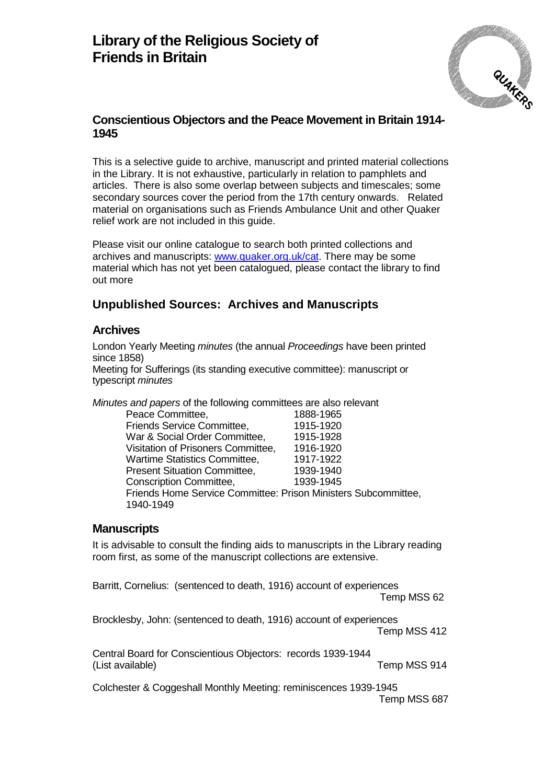

This is a selective guide to archive, manuscript and printed material collections in the Library. It is not exhaustive, particularly in relation to pamphlets and articles. There is also some overlap between subjects and timescales; some secondary sources cover the period from the 17th century onwards. Related material on organisations such as Friends Ambulance Unit and other Quaker relief work are not included in this guide.

Please visit our online catalogue to search both printed collections and archives and manuscripts: [www.quaker.org.uk/cat.](http://www.quaker.org.uk/cat) There may be some material which has not yet been catalogued, please contact the library to find out more

# **Unpublished Sources: Archives and Manuscripts**

#### **Archives**

London Yearly Meeting *minutes* (the annual *Proceedings* have been printed since 1858) Meeting for Sufferings (its standing executive committee): manuscript or typescript *minutes*

*Minutes and papers* of the following committees are also relevant

| Peace Committee,                                               | 1888-1965 |
|----------------------------------------------------------------|-----------|
| Friends Service Committee,                                     | 1915-1920 |
| War & Social Order Committee,                                  | 1915-1928 |
| Visitation of Prisoners Committee,                             | 1916-1920 |
| <b>Wartime Statistics Committee,</b>                           | 1917-1922 |
| <b>Present Situation Committee,</b>                            | 1939-1940 |
| Conscription Committee,                                        | 1939-1945 |
| Friends Home Service Committee: Prison Ministers Subcommittee, |           |
| 1940-1949                                                      |           |
|                                                                |           |

#### **Manuscripts**

It is advisable to consult the finding aids to manuscripts in the Library reading room first, as some of the manuscript collections are extensive.

Barritt, Cornelius: (sentenced to death, 1916) account of experiences Temp MSS 62

Brocklesby, John: (sentenced to death, 1916) account of experiences Temp MSS 412

Central Board for Conscientious Objectors: records 1939-1944 (List available) Temp MSS 914

Colchester & Coggeshall Monthly Meeting: reminiscences 1939-1945 Temp MSS 687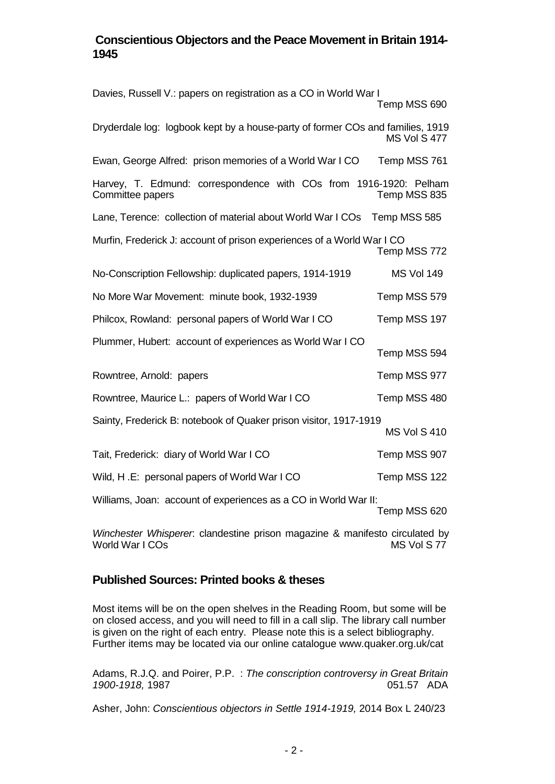| Davies, Russell V.: papers on registration as a CO in World War I                        | Temp MSS 690                                                                                                    |  |  |  |  |
|------------------------------------------------------------------------------------------|-----------------------------------------------------------------------------------------------------------------|--|--|--|--|
| Dryderdale log: logbook kept by a house-party of former COs and families, 1919           | <b>MS Vol S 477</b>                                                                                             |  |  |  |  |
| Ewan, George Alfred: prison memories of a World War I CO                                 | Temp MSS 761                                                                                                    |  |  |  |  |
| Harvey, T. Edmund: correspondence with COs from 1916-1920: Pelham<br>Committee papers    | Temp MSS 835                                                                                                    |  |  |  |  |
| Lane, Terence: collection of material about World War I COs                              | Temp MSS 585                                                                                                    |  |  |  |  |
| Murfin, Frederick J: account of prison experiences of a World War I CO<br>Temp MSS 772   |                                                                                                                 |  |  |  |  |
| No-Conscription Fellowship: duplicated papers, 1914-1919                                 | <b>MS Vol 149</b>                                                                                               |  |  |  |  |
| No More War Movement: minute book, 1932-1939                                             | Temp MSS 579                                                                                                    |  |  |  |  |
| Philcox, Rowland: personal papers of World War I CO                                      | Temp MSS 197                                                                                                    |  |  |  |  |
| Plummer, Hubert: account of experiences as World War I CO                                | Temp MSS 594                                                                                                    |  |  |  |  |
| Rowntree, Arnold: papers                                                                 | Temp MSS 977                                                                                                    |  |  |  |  |
| Rowntree, Maurice L.: papers of World War I CO                                           | Temp MSS 480                                                                                                    |  |  |  |  |
| Sainty, Frederick B: notebook of Quaker prison visitor, 1917-1919<br><b>MS Vol S 410</b> |                                                                                                                 |  |  |  |  |
| Tait, Frederick: diary of World War I CO                                                 | Temp MSS 907                                                                                                    |  |  |  |  |
| Wild, H.E: personal papers of World War I CO                                             | Temp MSS 122                                                                                                    |  |  |  |  |
| Williams, Joan: account of experiences as a CO in World War II:<br>Temp MSS 620          |                                                                                                                 |  |  |  |  |
|                                                                                          | the contract of the contract of the contract of the contract of the contract of the contract of the contract of |  |  |  |  |

*Winchester Whisperer*: clandestine prison magazine & manifesto circulated by World War I COs

## **Published Sources: Printed books & theses**

Most items will be on the open shelves in the Reading Room, but some will be on closed access, and you will need to fill in a call slip. The library call number is given on the right of each entry. Please note this is a select bibliography. Further items may be located via our online catalogue www.quaker.org.uk/cat

Adams, R.J.Q. and Poirer, P.P. : *The conscription controversy in Great Britain 1900-1918, 1987* 

Asher, John: *Conscientious objectors in Settle 1914-1919,* 2014 Box L 240/23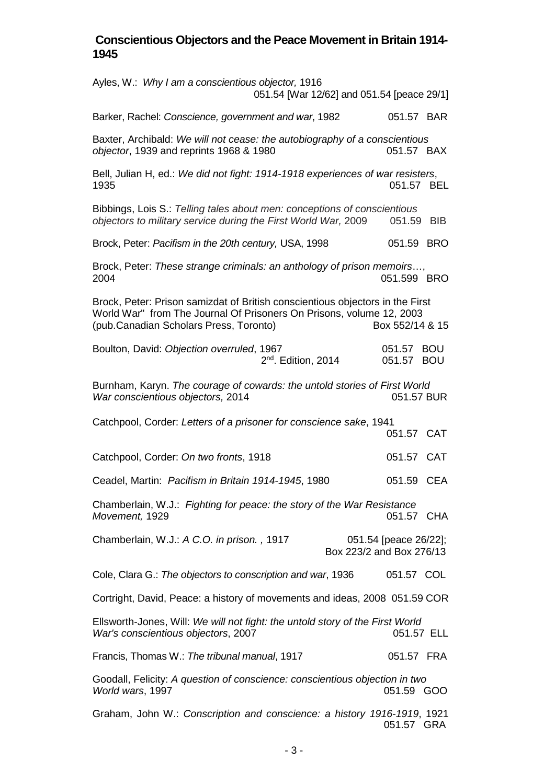| Ayles, W.: Why I am a conscientious objector, 1916<br>051.54 [War 12/62] and 051.54 [peace 29/1]                                                                                                |                          |            |  |  |
|-------------------------------------------------------------------------------------------------------------------------------------------------------------------------------------------------|--------------------------|------------|--|--|
| Barker, Rachel: Conscience, government and war, 1982                                                                                                                                            | 051.57 BAR               |            |  |  |
| Baxter, Archibald: We will not cease: the autobiography of a conscientious<br>objector, 1939 and reprints 1968 & 1980                                                                           | 051.57 BAX               |            |  |  |
| Bell, Julian H, ed.: We did not fight: 1914-1918 experiences of war resisters,<br>1935                                                                                                          | 051.57 BEL               |            |  |  |
| Bibbings, Lois S.: Telling tales about men: conceptions of conscientious<br>objectors to military service during the First World War, 2009                                                      | 051.59                   | <b>BIB</b> |  |  |
| Brock, Peter: Pacifism in the 20th century, USA, 1998                                                                                                                                           | 051.59 BRO               |            |  |  |
| Brock, Peter: These strange criminals: an anthology of prison memoirs,<br>2004                                                                                                                  | 051.599 BRO              |            |  |  |
| Brock, Peter: Prison samizdat of British conscientious objectors in the First<br>World War" from The Journal Of Prisoners On Prisons, volume 12, 2003<br>(pub.Canadian Scholars Press, Toronto) | Box 552/14 & 15          |            |  |  |
| Boulton, David: Objection overruled, 1967<br>$2nd$ . Edition, 2014                                                                                                                              | 051.57 BOU<br>051.57 BOU |            |  |  |
| Burnham, Karyn. The courage of cowards: the untold stories of First World<br>War conscientious objectors, 2014                                                                                  | 051.57 BUR               |            |  |  |
| Catchpool, Corder: Letters of a prisoner for conscience sake, 1941                                                                                                                              | 051.57 CAT               |            |  |  |
| Catchpool, Corder: On two fronts, 1918                                                                                                                                                          | 051.57 CAT               |            |  |  |
| Ceadel, Martin: Pacifism in Britain 1914-1945, 1980                                                                                                                                             | 051.59 CEA               |            |  |  |
| Chamberlain, W.J.: Fighting for peace: the story of the War Resistance<br>Movement, 1929                                                                                                        | 051.57 CHA               |            |  |  |
| Chamberlain, W.J.: A C.O. in prison., 1917<br>Box 223/2 and Box 276/13                                                                                                                          | 051.54 [peace 26/22];    |            |  |  |
| Cole, Clara G.: The objectors to conscription and war, 1936                                                                                                                                     | 051.57 COL               |            |  |  |
| Cortright, David, Peace: a history of movements and ideas, 2008 051.59 COR                                                                                                                      |                          |            |  |  |
| Ellsworth-Jones, Will: We will not fight: the untold story of the First World<br>War's conscientious objectors, 2007                                                                            |                          | 051.57 ELL |  |  |
| Francis, Thomas W.: The tribunal manual, 1917                                                                                                                                                   | 051.57 FRA               |            |  |  |
| Goodall, Felicity: A question of conscience: conscientious objection in two<br>World wars, 1997                                                                                                 | 051.59 GOO               |            |  |  |
| Graham, John W.: Conscription and conscience: a history 1916-1919, 1921                                                                                                                         | 051.57                   | <b>GRA</b> |  |  |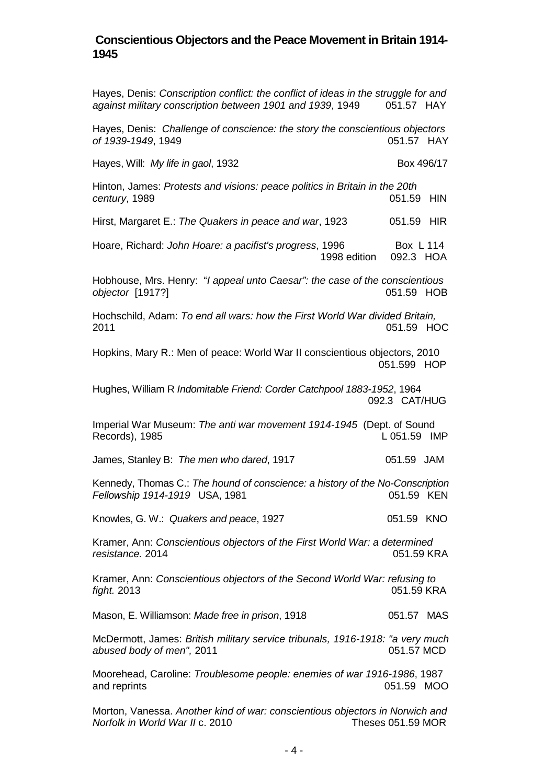Hayes, Denis: *Conscription conflict: the conflict of ideas in the struggle for and against military conscription between 1901 and 1939*, 1949 051.57 HAY Hayes, Denis: *Challenge of conscience: the story the conscientious objectors of 1939-1949*, 1949 051.57 HAY Hayes, Will: *My life in gaol*, 1932 **Box 496/17** Box 496/17 Hinton, James: *Protests and visions: peace politics in Britain in the 20th century*, 1989 **051.59 HIN** Hirst, Margaret E.: *The Quakers in peace and war*, 1923 051.59 HIR Hoare, Richard: *John Hoare: a pacifist's progress*, 1996 Box L 114 1998 edition 092.3 HOA Hobhouse, Mrs. Henry: "*I appeal unto Caesar": the case of the conscientious objector* [1917?] 051.59 HOB Hochschild, Adam: *To end all wars: how the First World War divided Britain,*  2011 051.59 HOC Hopkins, Mary R.: Men of peace: World War II conscientious objectors, 2010 051.599 HOP Hughes, William R *Indomitable Friend: Corder Catchpool 1883-1952*, 1964 092.3 CAT/HUG Imperial War Museum: *The anti war movement 1914-1945* (Dept. of Sound Records), 1985 **Let up to the UP 1051.59 IMP** James, Stanley B: *The men who dared*, 1917 051.59 JAM Kennedy, Thomas C.: *The hound of conscience: a history of the No-Conscription Fellowship 1914-1919* USA, 1981. Knowles, G. W.: Quakers and peace, 1927 **1927** 051.59 KNO Kramer, Ann: *Conscientious objectors of the First World War: a determined resistance.* 2014 051.59 KRA Kramer, Ann: *Conscientious objectors of the Second World War: refusing to fight.* 2013 051.59 KRA Mason, E. Williamson: Made free in prison, 1918 **Canada Castro Addam** 051.57 MAS McDermott, James: *British military service tribunals, 1916-1918: "a very much*  abused body of men", 2011 Moorehead, Caroline: *Troublesome people: enemies of war 1916-1986*, 1987 and reprints **and reprints and reprints 151.59 MOO** Morton, Vanessa. *Another kind of war: conscientious objectors in Norwich and Norfolk in World War II c. 2010*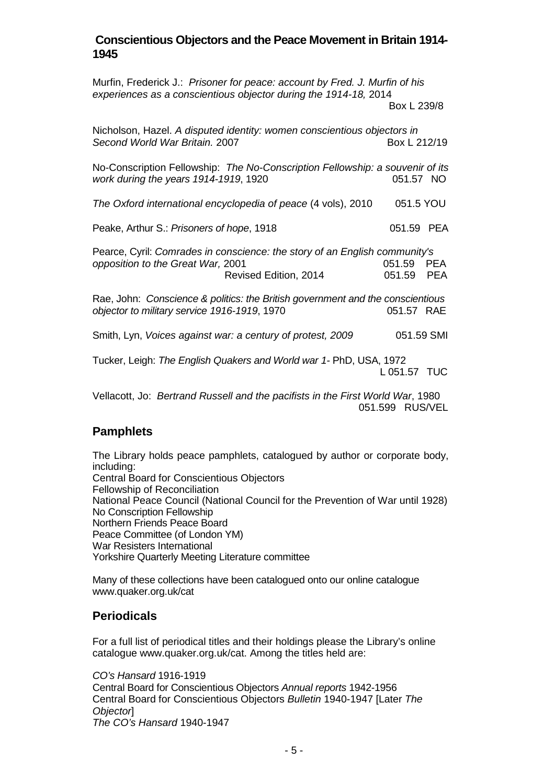| Murfin, Frederick J.: Prisoner for peace: account by Fred. J. Murfin of his<br>experiences as a conscientious objector during the 1914-18, 2014 |              |            |  |  |
|-------------------------------------------------------------------------------------------------------------------------------------------------|--------------|------------|--|--|
|                                                                                                                                                 | Box L 239/8  |            |  |  |
| Nicholson, Hazel. A disputed identity: women conscientious objectors in<br>Second World War Britain. 2007                                       | Box L 212/19 |            |  |  |
| No-Conscription Fellowship: The No-Conscription Fellowship: a souvenir of its<br>work during the years 1914-1919, 1920                          | 051.57 NO    |            |  |  |
| The Oxford international encyclopedia of peace (4 vols), 2010                                                                                   | 051.5 YOU    |            |  |  |
| Peake, Arthur S.: Prisoners of hope, 1918                                                                                                       | 051.59 PEA   |            |  |  |
| Pearce, Cyril: Comrades in conscience: the story of an English community's<br>051.59 PEA                                                        |              |            |  |  |
| opposition to the Great War, 2001<br>Revised Edition, 2014                                                                                      | 051.59       | <b>PEA</b> |  |  |
| Rae, John: Conscience & politics: the British government and the conscientious<br>objector to military service 1916-1919, 1970                  | 051.57 RAE   |            |  |  |
| Smith, Lyn, Voices against war: a century of protest, 2009                                                                                      | 051.59 SMI   |            |  |  |
| Tucker, Leigh: The English Quakers and World war 1- PhD, USA, 1972                                                                              | L 051.57 TUC |            |  |  |
| Vellacott, Jo: Bertrand Russell and the pacifists in the First World War, 1980                                                                  |              |            |  |  |

Vellacott, Jo: *Bertrand Russell and the pacifists in the First World War*, 1980 051.599 RUS/VEL

# **Pamphlets**

The Library holds peace pamphlets, catalogued by author or corporate body, including: Central Board for Conscientious Objectors Fellowship of Reconciliation National Peace Council (National Council for the Prevention of War until 1928) No Conscription Fellowship Northern Friends Peace Board Peace Committee (of London YM) War Resisters International Yorkshire Quarterly Meeting Literature committee

Many of these collections have been catalogued onto our online catalogue www.quaker.org.uk/cat

## **Periodicals**

For a full list of periodical titles and their holdings please the Library's online catalogue www.quaker.org.uk/cat. Among the titles held are:

*CO's Hansard* 1916-1919 Central Board for Conscientious Objectors *Annual reports* 1942-1956 Central Board for Conscientious Objectors *Bulletin* 1940-1947 [Later *The Objector*] *The CO's Hansard* 1940-1947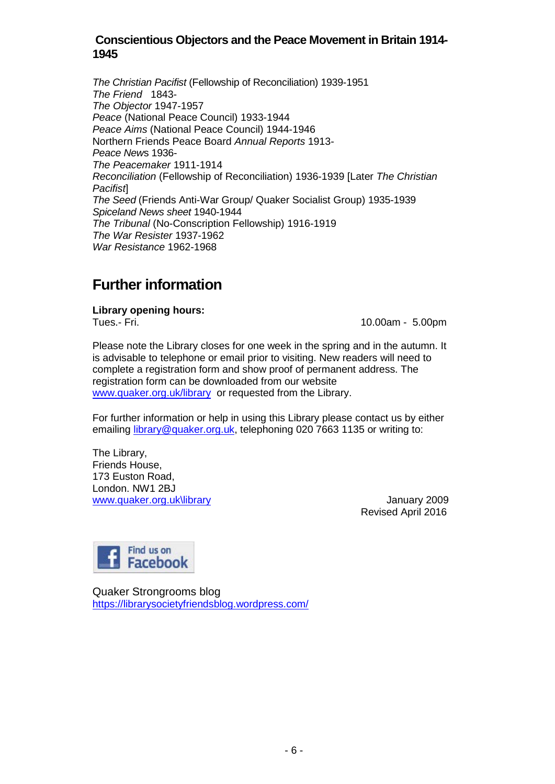*The Christian Pacifist* (Fellowship of Reconciliation) 1939-1951 *The Friend* 1843- *The Objector* 1947-1957 *Peace* (National Peace Council) 1933-1944 *Peace Aims* (National Peace Council) 1944-1946 Northern Friends Peace Board *Annual Reports* 1913- *Peace New*s 1936- *The Peacemaker* 1911-1914 *Reconciliation* (Fellowship of Reconciliation) 1936-1939 [Later *The Christian Pacifist*] *The Seed* (Friends Anti-War Group/ Quaker Socialist Group) 1935-1939 *Spiceland News sheet* 1940-1944 *The Tribunal* (No-Conscription Fellowship) 1916-1919 *The War Resister* 1937-1962 *War Resistance* 1962-1968

# **Further information**

**Library opening hours:**

10.00am - 5.00pm

Please note the Library closes for one week in the spring and in the autumn. It is advisable to telephone or email prior to visiting. New readers will need to complete a registration form and show proof of permanent address. The registration form can be downloaded from our website [www.quaker.org.uk/library](http://www.quaker.org.uk/library) or requested from the Library.

For further information or help in using this Library please contact us by either emailing [library@quaker.org.uk,](mailto:library@quaker.org.uk) telephoning 020 7663 1135 or writing to:

The Library, Friends House, 173 Euston Road, London. NW1 2BJ [www.quaker.org.uk\library](http://www.quaker.org.uk/library) January 2009

Revised April 2016



Quaker Strongrooms blog <https://librarysocietyfriendsblog.wordpress.com/>